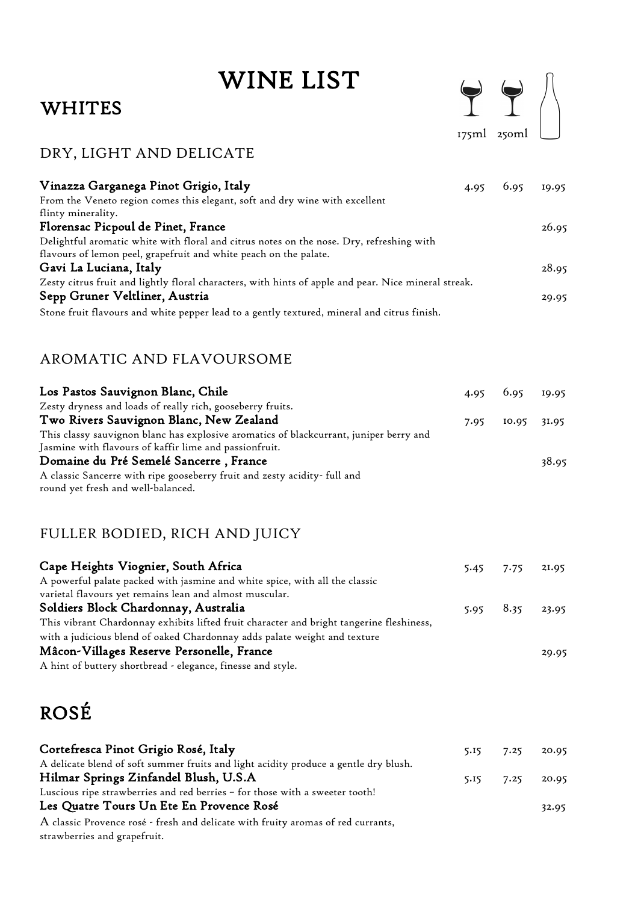# WINE LIST

### WHITES

|  | 175ml 250ml |  |
|--|-------------|--|

### DRY, LIGHT AND DELICATE

| Vinazza Garganega Pinot Grigio, Italy                                                                | 4.95 | 6.95 | 19.95 |
|------------------------------------------------------------------------------------------------------|------|------|-------|
| From the Veneto region comes this elegant, soft and dry wine with excellent                          |      |      |       |
| flinty minerality.                                                                                   |      |      |       |
| Florensac Picpoul de Pinet, France                                                                   |      |      | 26.95 |
| Delightful aromatic white with floral and citrus notes on the nose. Dry, refreshing with             |      |      |       |
| flavours of lemon peel, grapefruit and white peach on the palate.                                    |      |      |       |
| Gavi La Luciana, Italy                                                                               |      |      | 28.95 |
| Zesty citrus fruit and lightly floral characters, with hints of apple and pear. Nice mineral streak. |      |      |       |
| Sepp Gruner Veltliner, Austria                                                                       |      |      | 29.95 |
| Stone fruit flavours and white pepper lead to a gently textured, mineral and citrus finish.          |      |      |       |

### AROMATIC AND FLAVOURSOME

| Los Pastos Sauvignon Blanc, Chile                                                      |      | $4.95$ $6.95$ $19.95$ |       |
|----------------------------------------------------------------------------------------|------|-----------------------|-------|
| Zesty dryness and loads of really rich, gooseberry fruits.                             |      |                       |       |
| Two Rivers Sauvignon Blanc, New Zealand                                                | 7.95 | $10.95$ $31.95$       |       |
| This classy sauvignon blanc has explosive aromatics of blackcurrant, juniper berry and |      |                       |       |
| Jasmine with flavours of kaffir lime and passionfruit.                                 |      |                       |       |
| Domaine du Pré Semelé Sancerre, France                                                 |      |                       | 38.95 |
| A classic Sancerre with ripe gooseberry fruit and zesty acidity- full and              |      |                       |       |
| round yet fresh and well-balanced.                                                     |      |                       |       |

### FULLER BODIED, RICH AND JUICY

| Cape Heights Viognier, South Africa                                                      | $5.45$ 7.75           | 21.95 |
|------------------------------------------------------------------------------------------|-----------------------|-------|
| A powerful palate packed with jasmine and white spice, with all the classic              |                       |       |
| varietal flavours yet remains lean and almost muscular.                                  |                       |       |
| Soldiers Block Chardonnay, Australia                                                     | $5.95$ $8.35$ $23.95$ |       |
| This vibrant Chardonnay exhibits lifted fruit character and bright tangerine fleshiness, |                       |       |
| with a judicious blend of oaked Chardonnay adds palate weight and texture                |                       |       |
| Mâcon-Villages Reserve Personelle, France                                                |                       | 29.95 |
| A hint of buttery shortbread - elegance, finesse and style.                              |                       |       |

### ROSÉ

| Cortefresca Pinot Grigio Rosé, Italy                                                 | 5.15 | 7.25 | 20.95 |
|--------------------------------------------------------------------------------------|------|------|-------|
| A delicate blend of soft summer fruits and light acidity produce a gentle dry blush. |      |      |       |
| Hilmar Springs Zinfandel Blush, U.S.A                                                | 5.15 | 7.25 | 20.95 |
| Luscious ripe strawberries and red berries - for those with a sweeter tooth!         |      |      |       |
| Les Quatre Tours Un Ete En Provence Rosé                                             |      |      | 32.95 |
| A classic Provence rosé - fresh and delicate with fruity aromas of red currants,     |      |      |       |
| strawberries and grapefruit.                                                         |      |      |       |